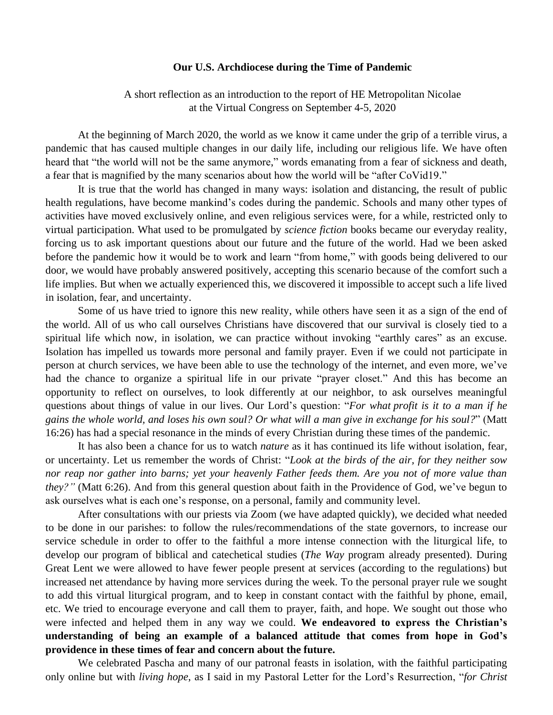## **Our U.S. Archdiocese during the Time of Pandemic**

A short reflection as an introduction to the report of HE Metropolitan Nicolae at the Virtual Congress on September 4-5, 2020

At the beginning of March 2020, the world as we know it came under the grip of a terrible virus, a pandemic that has caused multiple changes in our daily life, including our religious life. We have often heard that "the world will not be the same anymore," words emanating from a fear of sickness and death, a fear that is magnified by the many scenarios about how the world will be "after CoVid19."

It is true that the world has changed in many ways: isolation and distancing, the result of public health regulations, have become mankind's codes during the pandemic. Schools and many other types of activities have moved exclusively online, and even religious services were, for a while, restricted only to virtual participation. What used to be promulgated by *science fiction* books became our everyday reality, forcing us to ask important questions about our future and the future of the world. Had we been asked before the pandemic how it would be to work and learn "from home," with goods being delivered to our door, we would have probably answered positively, accepting this scenario because of the comfort such a life implies. But when we actually experienced this, we discovered it impossible to accept such a life lived in isolation, fear, and uncertainty.

Some of us have tried to ignore this new reality, while others have seen it as a sign of the end of the world. All of us who call ourselves Christians have discovered that our survival is closely tied to a spiritual life which now, in isolation, we can practice without invoking "earthly cares" as an excuse. Isolation has impelled us towards more personal and family prayer. Even if we could not participate in person at church services, we have been able to use the technology of the internet, and even more, we've had the chance to organize a spiritual life in our private "prayer closet." And this has become an opportunity to reflect on ourselves, to look differently at our neighbor, to ask ourselves meaningful questions about things of value in our lives. Our Lord's question: "*For what profit is it to a man if he gains the whole world, and loses his own soul? Or what will a man give in exchange for his soul?*" (Matt 16:26) has had a special resonance in the minds of every Christian during these times of the pandemic.

It has also been a chance for us to watch *nature* as it has continued its life without isolation, fear, or uncertainty. Let us remember the words of Christ: "*Look at the birds of the air, for they neither sow nor reap nor gather into barns; yet your heavenly Father feeds them. Are you not of more value than they?"* (Matt 6:26). And from this general question about faith in the Providence of God, we've begun to ask ourselves what is each one's response, on a personal, family and community level.

After consultations with our priests via Zoom (we have adapted quickly), we decided what needed to be done in our parishes: to follow the rules/recommendations of the state governors, to increase our service schedule in order to offer to the faithful a more intense connection with the liturgical life, to develop our program of biblical and catechetical studies (*The Way* program already presented). During Great Lent we were allowed to have fewer people present at services (according to the regulations) but increased net attendance by having more services during the week. To the personal prayer rule we sought to add this virtual liturgical program, and to keep in constant contact with the faithful by phone, email, etc. We tried to encourage everyone and call them to prayer, faith, and hope. We sought out those who were infected and helped them in any way we could. **We endeavored to express the Christian's understanding of being an example of a balanced attitude that comes from hope in God's providence in these times of fear and concern about the future.**

We celebrated Pascha and many of our patronal feasts in isolation, with the faithful participating only online but with *living hope*, as I said in my Pastoral Letter for the Lord's Resurrection, "*for Christ*